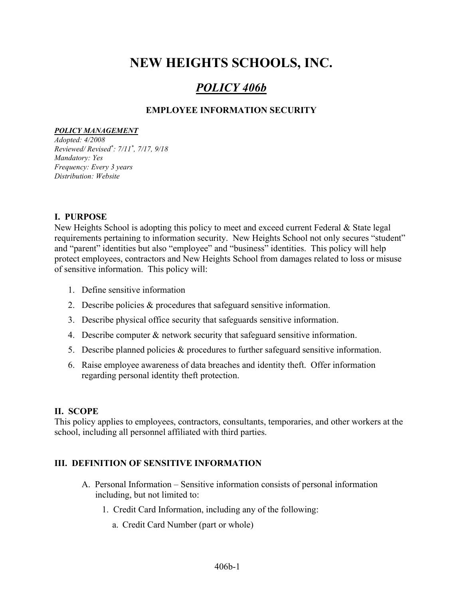# NEW HEIGHTS SCHOOLS, INC.

# POLICY 406b

# EMPLOYEE INFORMATION SECURITY

#### POLICY MANAGEMENT

Adopted: 4/2008 Reviewed/ Revised\* : 7/11\* , 7/17, 9/18 Mandatory: Yes Frequency: Every 3 years Distribution: Website

#### I. PURPOSE

New Heights School is adopting this policy to meet and exceed current Federal & State legal requirements pertaining to information security. New Heights School not only secures "student" and "parent" identities but also "employee" and "business" identities. This policy will help protect employees, contractors and New Heights School from damages related to loss or misuse of sensitive information. This policy will:

- 1. Define sensitive information
- 2. Describe policies & procedures that safeguard sensitive information.
- 3. Describe physical office security that safeguards sensitive information.
- 4. Describe computer & network security that safeguard sensitive information.
- 5. Describe planned policies & procedures to further safeguard sensitive information.
- 6. Raise employee awareness of data breaches and identity theft. Offer information regarding personal identity theft protection.

## II. SCOPE

This policy applies to employees, contractors, consultants, temporaries, and other workers at the school, including all personnel affiliated with third parties.

## III. DEFINITION OF SENSITIVE INFORMATION

- A. Personal Information Sensitive information consists of personal information including, but not limited to:
	- 1. Credit Card Information, including any of the following:
		- a. Credit Card Number (part or whole)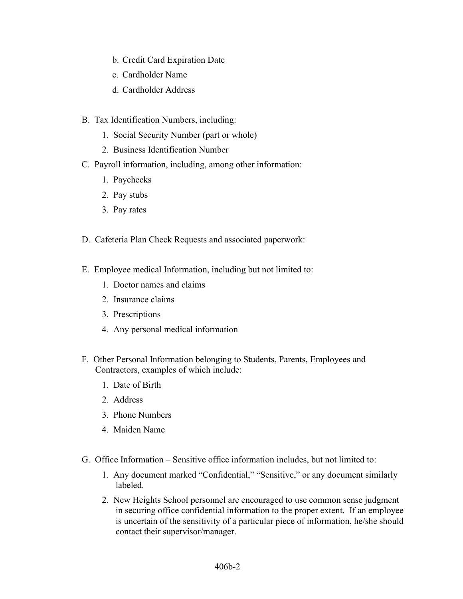- b. Credit Card Expiration Date
- c. Cardholder Name
- d. Cardholder Address
- B. Tax Identification Numbers, including:
	- 1. Social Security Number (part or whole)
	- 2. Business Identification Number
- C. Payroll information, including, among other information:
	- 1. Paychecks
	- 2. Pay stubs
	- 3. Pay rates
- D. Cafeteria Plan Check Requests and associated paperwork:
- E. Employee medical Information, including but not limited to:
	- 1. Doctor names and claims
	- 2. Insurance claims
	- 3. Prescriptions
	- 4. Any personal medical information
- F. Other Personal Information belonging to Students, Parents, Employees and Contractors, examples of which include:
	- 1. Date of Birth
	- 2. Address
	- 3. Phone Numbers
	- 4. Maiden Name
- G. Office Information Sensitive office information includes, but not limited to:
	- 1. Any document marked "Confidential," "Sensitive," or any document similarly labeled.
	- 2. New Heights School personnel are encouraged to use common sense judgment in securing office confidential information to the proper extent. If an employee is uncertain of the sensitivity of a particular piece of information, he/she should contact their supervisor/manager.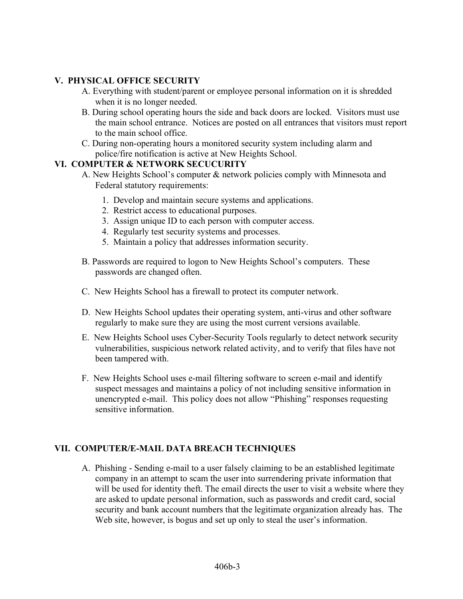# V. PHYSICAL OFFICE SECURITY

- A. Everything with student/parent or employee personal information on it is shredded when it is no longer needed.
- B. During school operating hours the side and back doors are locked. Visitors must use the main school entrance. Notices are posted on all entrances that visitors must report to the main school office.
- C. During non-operating hours a monitored security system including alarm and police/fire notification is active at New Heights School.

#### VI. COMPUTER & NETWORK SECUCURITY

- A. New Heights School's computer & network policies comply with Minnesota and Federal statutory requirements:
	- 1. Develop and maintain secure systems and applications.
	- 2. Restrict access to educational purposes.
	- 3. Assign unique ID to each person with computer access.
	- 4. Regularly test security systems and processes.
	- 5. Maintain a policy that addresses information security.
- B. Passwords are required to logon to New Heights School's computers. These passwords are changed often.
- C. New Heights School has a firewall to protect its computer network.
- D. New Heights School updates their operating system, anti-virus and other software regularly to make sure they are using the most current versions available.
- E. New Heights School uses Cyber-Security Tools regularly to detect network security vulnerabilities, suspicious network related activity, and to verify that files have not been tampered with.
- F. New Heights School uses e-mail filtering software to screen e-mail and identify suspect messages and maintains a policy of not including sensitive information in unencrypted e-mail. This policy does not allow "Phishing" responses requesting sensitive information.

## VII. COMPUTER/E-MAIL DATA BREACH TECHNIQUES

A. Phishing - Sending e-mail to a user falsely claiming to be an established legitimate company in an attempt to scam the user into surrendering private information that will be used for identity theft. The email directs the user to visit a website where they are asked to update personal information, such as passwords and credit card, social security and bank account numbers that the legitimate organization already has. The Web site, however, is bogus and set up only to steal the user's information.